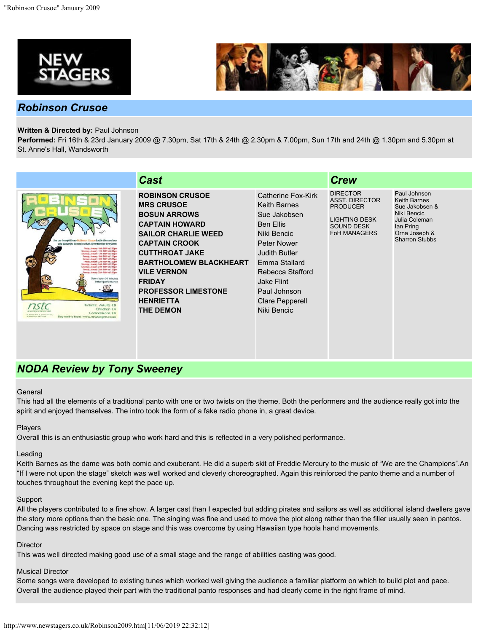



# *Robinson Crusoe*

### **Written & Directed by:** Paul Johnson

**Performed:** Fri 16th & 23rd January 2009 @ 7.30pm, Sat 17th & 24th @ 2.30pm & 7.00pm, Sun 17th and 24th @ 1.30pm and 5.30pm at St. Anne's Hall, Wandsworth

|                                                                                                                                                                                                                                                                                                                                                                                                                                                                                                                                                                                                                                           | <b>Cast</b>                                                                                                                                                                                                                                                                                                              |                                                                                                                                                                                                                                                        | <b>Crew</b>                                                                                                                     |                                                                                                                                              |
|-------------------------------------------------------------------------------------------------------------------------------------------------------------------------------------------------------------------------------------------------------------------------------------------------------------------------------------------------------------------------------------------------------------------------------------------------------------------------------------------------------------------------------------------------------------------------------------------------------------------------------------------|--------------------------------------------------------------------------------------------------------------------------------------------------------------------------------------------------------------------------------------------------------------------------------------------------------------------------|--------------------------------------------------------------------------------------------------------------------------------------------------------------------------------------------------------------------------------------------------------|---------------------------------------------------------------------------------------------------------------------------------|----------------------------------------------------------------------------------------------------------------------------------------------|
| See our intrepid hero Robinson Cru<br>ed dastardly pirates in a fun adventure for everyone!<br>Friday, January 16th 2009 at 7.30pm<br>Setunday, January 17th 2009 at 2.30pm<br>Iturday, January 17th 2009 at 7.30pm<br>unday, January 18th 2009 at 1.00pm<br>arry 18th 2009 at 5.30pm<br>C<br>January 23rd 2009 at 7.30pm<br>furday, January 24th 2009 at 2.30pm<br>tunday, January 24th 2009 at 7.50pm<br>Sunday, January 25th 2009 at 1.00pm<br>inday, January 25th 2009 at 5.30pm<br>Joors open 30 minutes<br>efore performance<br><b>Tickets: Adults £8</b><br>Children E4<br>Concessions £4<br>Buy online from: www.newstagers.co.uk | <b>ROBINSON CRUSOE</b><br><b>MRS CRUSOE</b><br><b>BOSUN ARROWS</b><br><b>CAPTAIN HOWARD</b><br><b>SAILOR CHARLIE WEED</b><br><b>CAPTAIN CROOK</b><br><b>CUTTHROAT JAKE</b><br><b>BARTHOLOMEW BLACKHEART</b><br><b>VILE VERNON</b><br><b>FRIDAY</b><br><b>PROFESSOR LIMESTONE</b><br><b>HENRIETTA</b><br><b>THE DEMON</b> | Catherine Fox-Kirk<br><b>Keith Barnes</b><br>Sue Jakobsen<br><b>Ben Ellis</b><br>Niki Bencic<br><b>Peter Nower</b><br><b>Judith Butler</b><br>Emma Stallard<br>Rebecca Stafford<br>Jake Flint<br>Paul Johnson<br><b>Clare Pepperell</b><br>Niki Bencic | <b>DIRECTOR</b><br><b>ASST. DIRECTOR</b><br><b>PRODUCER</b><br><b>LIGHTING DESK</b><br><b>SOUND DESK</b><br><b>FoH MANAGERS</b> | Paul Johnson<br><b>Keith Barnes</b><br>Sue Jakobsen &<br>Niki Bencic<br>Julia Coleman<br>lan Pring<br>Orna Joseph &<br><b>Sharron Stubbs</b> |

## *NODA Review by Tony Sweeney*

#### **General**

I

This had all the elements of a traditional panto with one or two twists on the theme. Both the performers and the audience really got into the spirit and enjoyed themselves. The intro took the form of a fake radio phone in, a great device.

#### Players

Overall this is an enthusiastic group who work hard and this is reflected in a very polished performance.

#### Leading

Keith Barnes as the dame was both comic and exuberant. He did a superb skit of Freddie Mercury to the music of "We are the Champions".An "If I were not upon the stage" sketch was well worked and cleverly choreographed. Again this reinforced the panto theme and a number of touches throughout the evening kept the pace up.

#### Support

All the players contributed to a fine show. A larger cast than I expected but adding pirates and sailors as well as additional island dwellers gave the story more options than the basic one. The singing was fine and used to move the plot along rather than the filler usually seen in pantos. Dancing was restricted by space on stage and this was overcome by using Hawaiian type hoola hand movements.

#### **Director**

This was well directed making good use of a small stage and the range of abilities casting was good.

#### Musical Director

Some songs were developed to existing tunes which worked well giving the audience a familiar platform on which to build plot and pace. Overall the audience played their part with the traditional panto responses and had clearly come in the right frame of mind.